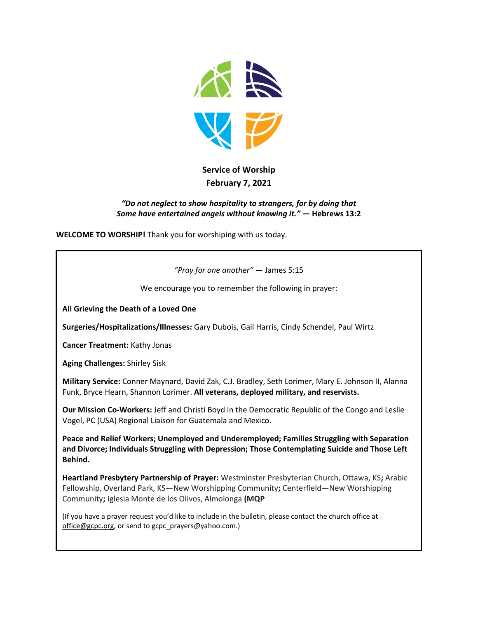

# **Service of Worship February 7, 2021**

#### *"Do not neglect to show hospitality to strangers, for by doing that Some have entertained angels without knowing it."* **— Hebrews 13:2**

**WELCOME TO WORSHIP!** Thank you for worshiping with us today.

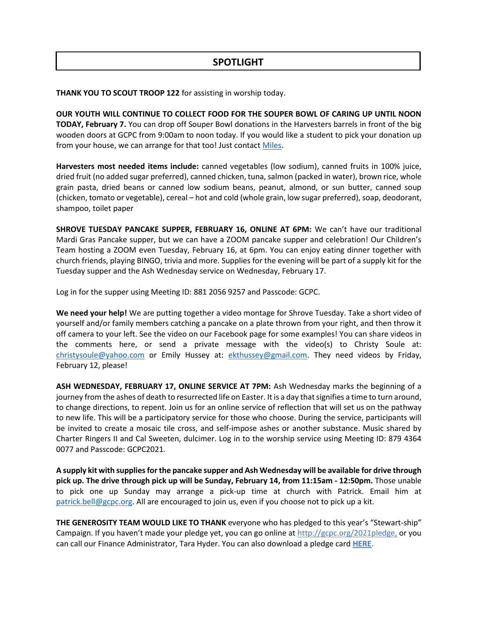# **SPOTLIGHT**

**THANK YOU TO SCOUT TROOP 122** for assisting in worship today.

**OUR YOUTH WILL CONTINUE TO COLLECT FOOD FOR THE SOUPER BOWL OF CARING UP UNTIL NOON TODAY, February 7.** You can drop off Souper Bowl donations in the Harvesters barrels in front of the big wooden doors at GCPC from 9:00am to noon today. If you would like a student to pick your donation up from your house, we can arrange for that too! Just contact [Miles.](mailto:miles.mcdonald@gcpc.org)

**Harvesters most needed items include:** canned vegetables (low sodium), canned fruits in 100% juice, dried fruit (no added sugar preferred), canned chicken, tuna, salmon (packed in water), brown rice, whole grain pasta, dried beans or canned low sodium beans, peanut, almond, or sun butter, canned soup (chicken, tomato or vegetable), cereal – hot and cold (whole grain, low sugar preferred), soap, deodorant, shampoo, toilet paper

**SHROVE TUESDAY PANCAKE SUPPER, FEBRUARY 16, ONLINE AT 6PM:** We can't have our traditional Mardi Gras Pancake supper, but we can have a ZOOM pancake supper and celebration! Our Children's Team hosting a ZOOM even Tuesday, February 16, at 6pm. You can enjoy eating dinner together with church friends, playing BINGO, trivia and more. Supplies for the evening will be part of a supply kit for the Tuesday supper and the Ash Wednesday service on Wednesday, February 17.

Log in for the supper using Meeting ID: 881 2056 9257 and Passcode: GCPC.

**We need your help!** We are putting together a video montage for Shrove Tuesday. Take a short video of yourself and/or family members catching a pancake on a plate thrown from your right, and then throw it off camera to your left. See the video on our Facebook page for some examples! You can share videos in the comments here, or send a private message with the video(s) to Christy Soule at: [christysoule@yahoo.com](mailto:christysoule@yahoo.com) or Emily Hussey at: [ekthussey@gmail.com.](mailto:ekthussey@gmail.com) They need videos by Friday, February 12, please!

**ASH WEDNESDAY, FEBRUARY 17, ONLINE SERVICE AT 7PM:** Ash Wednesday marks the beginning of a journey from the ashes of death to resurrected life on Easter. It is a day that signifies a time to turn around, to change directions, to repent. Join us for an online service of reflection that will set us on the pathway to new life. This will be a participatory service for those who choose. During the service, participants will be invited to create a mosaic tile cross, and self-impose ashes or another substance. Music shared by Charter Ringers II and Cal Sweeten, dulcimer. Log in to the worship service using Meeting ID: 879 4364 0077 and Passcode: GCPC2021.

**A supply kit with supplies for the pancake supper and Ash Wednesday will be available for drive through pick up. The drive through pick up will be Sunday, February 14, from 11:15am - 12:50pm.** Those unable to pick one up Sunday may arrange a pick-up time at church with Patrick. Email him at [patrick.bell@gcpc.org.](mailto:patrick.bell@gcpc.org) All are encouraged to join us, even if you choose not to pick up a kit.

**THE GENEROSITY TEAM WOULD LIKE TO THANK** everyone who has pledged to this year's "Stewart-ship" Campaign. If you haven't made your pledge yet, you can go online at [http://gcpc.org/2021pledge,](https://t.e2ma.net/click/0sw63e/8mprdig/sqpd0u) or you can call our Finance Administrator, Tara Hyder. You can also download a pledge card **[HERE](https://t.e2ma.net/click/0sw63e/8mprdig/8iqd0u)**.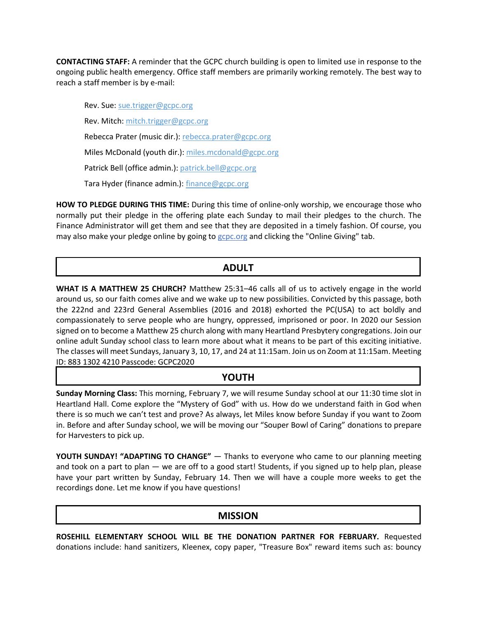**CONTACTING STAFF:** A reminder that the GCPC church building is open to limited use in response to the ongoing public health emergency. Office staff members are primarily working remotely. The best way to reach a staff member is by e-mail:

Rev. Sue: [sue.trigger@gcpc.org](mailto:sue.trigger@gcpc.org) Rev. Mitch: [mitch.trigger@gcpc.org](mailto:mitch.trigger@gcpc.org) Rebecca Prater (music dir.): [rebecca.prater@gcpc.org](mailto:rebecca.prater@gcpc.org) Miles McDonald (youth dir.): [miles.mcdonald@gcpc.org](mailto:miles.mcdonald@gcpc.org) Patrick Bell (office admin.): [patrick.bell@gcpc.org](mailto:patrick.bell@gcpc.org) Tara Hyder (finance admin.): [finance@gcpc.org](mailto:finance@gcpc.org)

**HOW TO PLEDGE DURING THIS TIME:** During this time of online-only worship, we encourage those who normally put their pledge in the offering plate each Sunday to mail their pledges to the church. The Finance Administrator will get them and see that they are deposited in a timely fashion. Of course, you may also make your pledge online by going to [gcpc.org](https://gcpc.org/about-us/donate.html) and clicking the "Online Giving" tab.

## **ADULT**

**WHAT IS A MATTHEW 25 CHURCH?** Matthew 25:31–46 calls all of us to actively engage in the world around us, so our faith comes alive and we wake up to new possibilities. Convicted by this passage, both the 222nd and 223rd General Assemblies (2016 and 2018) exhorted the PC(USA) to act boldly and compassionately to serve people who are hungry, oppressed, imprisoned or poor. In 2020 our Session signed on to become a Matthew 25 church along with many Heartland Presbytery congregations. Join our online adult Sunday school class to learn more about what it means to be part of this exciting initiative. The classes will meet Sundays, January 3, 10, 17, and 24 at 11:15am. Join us on Zoom at 11:15am. Meeting ID: 883 1302 4210 Passcode: GCPC2020

### **YOUTH**

**Sunday Morning Class:** This morning, February 7, we will resume Sunday school at our 11:30 time slot in Heartland Hall. Come explore the "Mystery of God" with us. How do we understand faith in God when there is so much we can't test and prove? As always, let Miles know before Sunday if you want to Zoom in. Before and after Sunday school, we will be moving our "Souper Bowl of Caring" donations to prepare for Harvesters to pick up.

**YOUTH SUNDAY! "ADAPTING TO CHANGE"** — Thanks to everyone who came to our planning meeting and took on a part to plan — we are off to a good start! Students, if you signed up to help plan, please have your part written by Sunday, February 14. Then we will have a couple more weeks to get the recordings done. Let me know if you have questions!

# **MISSION**

**ROSEHILL ELEMENTARY SCHOOL WILL BE THE DONATION PARTNER FOR FEBRUARY.** Requested donations include: hand sanitizers, Kleenex, copy paper, "Treasure Box" reward items such as: bouncy